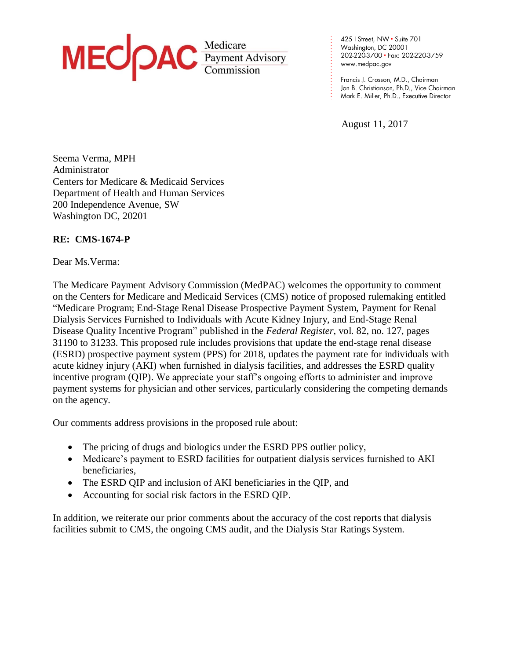

425 | Street, NW · Suite 701 Washington, DC 20001 202-220-3700 · Fax: 202-220-3759 www.medpac.gov

Francis J. Crosson, M.D., Chairman Jon B. Christianson, Ph.D., Vice Chairman Mark E. Miller, Ph.D., Executive Director

August 11, 2017

. . . . . . . . . . . . . . . . . . . . . .

Seema Verma, MPH Administrator Centers for Medicare & Medicaid Services Department of Health and Human Services 200 Independence Avenue, SW Washington DC, 20201

# **RE: CMS-1674-P**

Dear Ms.Verma:

The Medicare Payment Advisory Commission (MedPAC) welcomes the opportunity to comment on the Centers for Medicare and Medicaid Services (CMS) notice of proposed rulemaking entitled "Medicare Program; End-Stage Renal Disease Prospective Payment System, Payment for Renal Dialysis Services Furnished to Individuals with Acute Kidney Injury, and End-Stage Renal Disease Quality Incentive Program" published in the *Federal Register*, vol. 82, no. 127, pages 31190 to 31233. This proposed rule includes provisions that update the end-stage renal disease (ESRD) prospective payment system (PPS) for 2018, updates the payment rate for individuals with acute kidney injury (AKI) when furnished in dialysis facilities, and addresses the ESRD quality incentive program (QIP). We appreciate your staff's ongoing efforts to administer and improve payment systems for physician and other services, particularly considering the competing demands on the agency.

Our comments address provisions in the proposed rule about:

- The pricing of drugs and biologics under the ESRD PPS outlier policy,
- Medicare's payment to ESRD facilities for outpatient dialysis services furnished to AKI beneficiaries,
- The ESRD QIP and inclusion of AKI beneficiaries in the QIP, and
- Accounting for social risk factors in the ESRD QIP.

In addition, we reiterate our prior comments about the accuracy of the cost reports that dialysis facilities submit to CMS, the ongoing CMS audit, and the Dialysis Star Ratings System.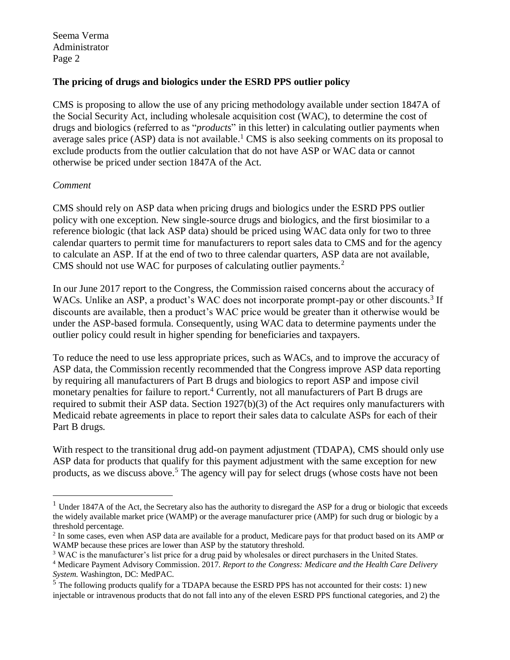## **The pricing of drugs and biologics under the ESRD PPS outlier policy**

CMS is proposing to allow the use of any pricing methodology available under section 1847A of the Social Security Act, including wholesale acquisition cost (WAC), to determine the cost of drugs and biologics (referred to as "*products*" in this letter) in calculating outlier payments when average sales price (ASP) data is not available.<sup>1</sup> CMS is also seeking comments on its proposal to exclude products from the outlier calculation that do not have ASP or WAC data or cannot otherwise be priced under section 1847A of the Act.

## *Comment*

 $\overline{a}$ 

CMS should rely on ASP data when pricing drugs and biologics under the ESRD PPS outlier policy with one exception. New single-source drugs and biologics, and the first biosimilar to a reference biologic (that lack ASP data) should be priced using WAC data only for two to three calendar quarters to permit time for manufacturers to report sales data to CMS and for the agency to calculate an ASP. If at the end of two to three calendar quarters, ASP data are not available, CMS should not use WAC for purposes of calculating outlier payments.<sup>2</sup>

In our June 2017 report to the Congress, the Commission raised concerns about the accuracy of WACs. Unlike an ASP, a product's WAC does not incorporate prompt-pay or other discounts.<sup>3</sup> If discounts are available, then a product's WAC price would be greater than it otherwise would be under the ASP-based formula. Consequently, using WAC data to determine payments under the outlier policy could result in higher spending for beneficiaries and taxpayers.

To reduce the need to use less appropriate prices, such as WACs, and to improve the accuracy of ASP data, the Commission recently recommended that the Congress improve ASP data reporting by requiring all manufacturers of Part B drugs and biologics to report ASP and impose civil monetary penalties for failure to report.<sup>4</sup> Currently, not all manufacturers of Part B drugs are required to submit their ASP data. Section 1927(b)(3) of the Act requires only manufacturers with Medicaid rebate agreements in place to report their sales data to calculate ASPs for each of their Part B drugs.

With respect to the transitional drug add-on payment adjustment (TDAPA), CMS should only use ASP data for products that qualify for this payment adjustment with the same exception for new products, as we discuss above.<sup>5</sup> The agency will pay for select drugs (whose costs have not been

<sup>&</sup>lt;sup>1</sup> Under 1847A of the Act, the Secretary also has the authority to disregard the ASP for a drug or biologic that exceeds the widely available market price (WAMP) or the average manufacturer price (AMP) for such drug or biologic by a threshold percentage.

<sup>&</sup>lt;sup>2</sup> In some cases, even when ASP data are available for a product, Medicare pays for that product based on its AMP or WAMP because these prices are lower than ASP by the statutory threshold.

<sup>&</sup>lt;sup>3</sup> WAC is the manufacturer's list price for a drug paid by wholesales or direct purchasers in the United States.

<sup>4</sup> Medicare Payment Advisory Commission. 2017. *Report to the Congress: Medicare and the Health Care Delivery System*. Washington, DC: MedPAC.

 $5$  The following products qualify for a TDAPA because the ESRD PPS has not accounted for their costs: 1) new injectable or intravenous products that do not fall into any of the eleven ESRD PPS functional categories, and 2) the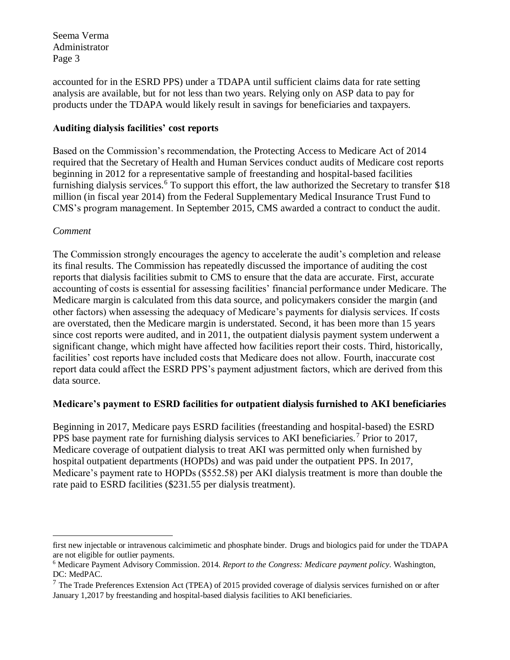accounted for in the ESRD PPS) under a TDAPA until sufficient claims data for rate setting analysis are available, but for not less than two years. Relying only on ASP data to pay for products under the TDAPA would likely result in savings for beneficiaries and taxpayers.

# **Auditing dialysis facilities' cost reports**

Based on the Commission's recommendation, the Protecting Access to Medicare Act of 2014 required that the Secretary of Health and Human Services conduct audits of Medicare cost reports beginning in 2012 for a representative sample of freestanding and hospital-based facilities furnishing dialysis services.<sup>6</sup> To support this effort, the law authorized the Secretary to transfer \$18 million (in fiscal year 2014) from the Federal Supplementary Medical Insurance Trust Fund to CMS's program management. In September 2015, CMS awarded a contract to conduct the audit.

# *Comment*

The Commission strongly encourages the agency to accelerate the audit's completion and release its final results. The Commission has repeatedly discussed the importance of auditing the cost reports that dialysis facilities submit to CMS to ensure that the data are accurate. First, accurate accounting of costs is essential for assessing facilities' financial performance under Medicare. The Medicare margin is calculated from this data source, and policymakers consider the margin (and other factors) when assessing the adequacy of Medicare's payments for dialysis services. If costs are overstated, then the Medicare margin is understated. Second, it has been more than 15 years since cost reports were audited, and in 2011, the outpatient dialysis payment system underwent a significant change, which might have affected how facilities report their costs. Third, historically, facilities' cost reports have included costs that Medicare does not allow. Fourth, inaccurate cost report data could affect the ESRD PPS's payment adjustment factors, which are derived from this data source.

# **Medicare's payment to ESRD facilities for outpatient dialysis furnished to AKI beneficiaries**

Beginning in 2017, Medicare pays ESRD facilities (freestanding and hospital-based) the ESRD PPS base payment rate for furnishing dialysis services to AKI beneficiaries.<sup>7</sup> Prior to 2017, Medicare coverage of outpatient dialysis to treat AKI was permitted only when furnished by hospital outpatient departments (HOPDs) and was paid under the outpatient PPS. In 2017, Medicare's payment rate to HOPDs (\$552.58) per AKI dialysis treatment is more than double the rate paid to ESRD facilities (\$231.55 per dialysis treatment).

 $\overline{a}$ first new injectable or intravenous calcimimetic and phosphate binder. Drugs and biologics paid for under the TDAPA are not eligible for outlier payments.

<sup>6</sup> Medicare Payment Advisory Commission. 2014. *Report to the Congress: Medicare payment policy*. Washington, DC: MedPAC.

 $<sup>7</sup>$  The Trade Preferences Extension Act (TPEA) of 2015 provided coverage of dialysis services furnished on or after</sup> January 1,2017 by freestanding and hospital-based dialysis facilities to AKI beneficiaries.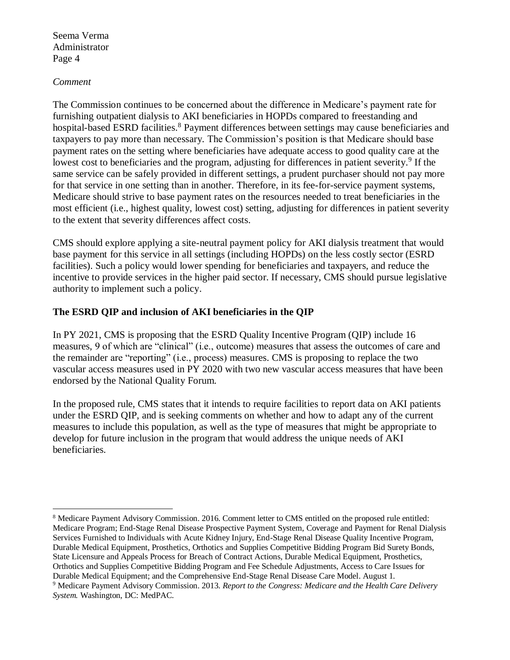#### *Comment*

 $\overline{a}$ 

The Commission continues to be concerned about the difference in Medicare's payment rate for furnishing outpatient dialysis to AKI beneficiaries in HOPDs compared to freestanding and hospital-based ESRD facilities.<sup>8</sup> Payment differences between settings may cause beneficiaries and taxpayers to pay more than necessary. The Commission's position is that Medicare should base payment rates on the setting where beneficiaries have adequate access to good quality care at the lowest cost to beneficiaries and the program, adjusting for differences in patient severity.<sup>9</sup> If the same service can be safely provided in different settings, a prudent purchaser should not pay more for that service in one setting than in another. Therefore, in its fee-for-service payment systems, Medicare should strive to base payment rates on the resources needed to treat beneficiaries in the most efficient (i.e., highest quality, lowest cost) setting, adjusting for differences in patient severity to the extent that severity differences affect costs.

CMS should explore applying a site-neutral payment policy for AKI dialysis treatment that would base payment for this service in all settings (including HOPDs) on the less costly sector (ESRD facilities). Such a policy would lower spending for beneficiaries and taxpayers, and reduce the incentive to provide services in the higher paid sector. If necessary, CMS should pursue legislative authority to implement such a policy.

## **The ESRD QIP and inclusion of AKI beneficiaries in the QIP**

In PY 2021, CMS is proposing that the ESRD Quality Incentive Program (QIP) include 16 measures, 9 of which are "clinical" (i.e., outcome) measures that assess the outcomes of care and the remainder are "reporting" (i.e., process) measures. CMS is proposing to replace the two vascular access measures used in PY 2020 with two new vascular access measures that have been endorsed by the National Quality Forum.

In the proposed rule, CMS states that it intends to require facilities to report data on AKI patients under the ESRD QIP, and is seeking comments on whether and how to adapt any of the current measures to include this population, as well as the type of measures that might be appropriate to develop for future inclusion in the program that would address the unique needs of AKI beneficiaries.

<sup>&</sup>lt;sup>8</sup> Medicare Payment Advisory Commission. 2016. Comment letter to CMS entitled on the proposed rule entitled: Medicare Program; End-Stage Renal Disease Prospective Payment System, Coverage and Payment for Renal Dialysis Services Furnished to Individuals with Acute Kidney Injury, End-Stage Renal Disease Quality Incentive Program, Durable Medical Equipment, Prosthetics, Orthotics and Supplies Competitive Bidding Program Bid Surety Bonds, State Licensure and Appeals Process for Breach of Contract Actions, Durable Medical Equipment, Prosthetics, Orthotics and Supplies Competitive Bidding Program and Fee Schedule Adjustments, Access to Care Issues for Durable Medical Equipment; and the Comprehensive End-Stage Renal Disease Care Model. August 1.

<sup>9</sup> Medicare Payment Advisory Commission. 2013. *Report to the Congress: Medicare and the Health Care Delivery System.* Washington, DC: MedPAC.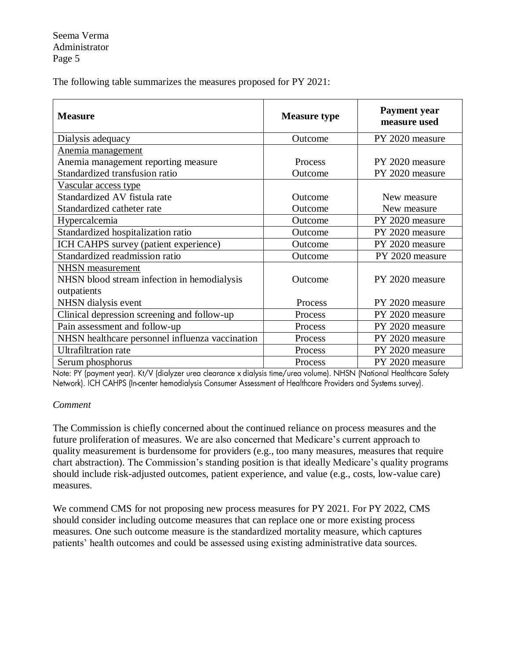The following table summarizes the measures proposed for PY 2021:

| <b>Measure</b>                                  | <b>Measure type</b> | <b>Payment</b> year<br>measure used |
|-------------------------------------------------|---------------------|-------------------------------------|
| Dialysis adequacy                               | Outcome             | PY 2020 measure                     |
| Anemia management                               |                     |                                     |
| Anemia management reporting measure             | Process             | PY 2020 measure                     |
| Standardized transfusion ratio                  | Outcome             | PY 2020 measure                     |
| Vascular access type                            |                     |                                     |
| Standardized AV fistula rate                    | Outcome             | New measure                         |
| Standardized catheter rate                      | Outcome             | New measure                         |
| Hypercalcemia                                   | Outcome             | PY 2020 measure                     |
| Standardized hospitalization ratio              | Outcome             | PY 2020 measure                     |
| ICH CAHPS survey (patient experience)           | Outcome             | PY 2020 measure                     |
| Standardized readmission ratio                  | Outcome             | PY 2020 measure                     |
| <b>NHSN</b> measurement                         |                     |                                     |
| NHSN blood stream infection in hemodialysis     | Outcome             | PY 2020 measure                     |
| outpatients                                     |                     |                                     |
| NHSN dialysis event                             | Process             | PY 2020 measure                     |
| Clinical depression screening and follow-up     | Process             | PY 2020 measure                     |
| Pain assessment and follow-up                   | Process             | PY 2020 measure                     |
| NHSN healthcare personnel influenza vaccination | Process             | PY 2020 measure                     |
| <b>Ultrafiltration</b> rate                     | Process             | PY 2020 measure                     |
| Serum phosphorus                                | Process             | PY 2020 measure                     |

Note: PY (payment year). Kt/V (dialyzer urea clearance x dialysis time/urea volume). NHSN (National Healthcare Safety Network). ICH CAHPS (In-center hemodialysis Consumer Assessment of Healthcare Providers and Systems survey).

#### *Comment*

The Commission is chiefly concerned about the continued reliance on process measures and the future proliferation of measures. We are also concerned that Medicare's current approach to quality measurement is burdensome for providers (e.g., too many measures, measures that require chart abstraction). The Commission's standing position is that ideally Medicare's quality programs should include risk-adjusted outcomes, patient experience, and value (e.g., costs, low-value care) measures.

We commend CMS for not proposing new process measures for PY 2021. For PY 2022, CMS should consider including outcome measures that can replace one or more existing process measures. One such outcome measure is the standardized mortality measure, which captures patients' health outcomes and could be assessed using existing administrative data sources.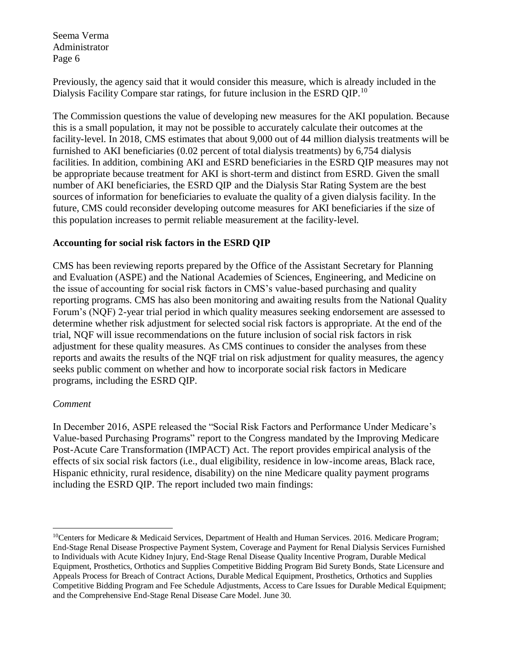Previously, the agency said that it would consider this measure, which is already included in the Dialysis Facility Compare star ratings, for future inclusion in the ESRD QIP.<sup>10</sup>

The Commission questions the value of developing new measures for the AKI population. Because this is a small population, it may not be possible to accurately calculate their outcomes at the facility-level. In 2018, CMS estimates that about 9,000 out of 44 million dialysis treatments will be furnished to AKI beneficiaries (0.02 percent of total dialysis treatments) by 6,754 dialysis facilities. In addition, combining AKI and ESRD beneficiaries in the ESRD QIP measures may not be appropriate because treatment for AKI is short-term and distinct from ESRD. Given the small number of AKI beneficiaries, the ESRD QIP and the Dialysis Star Rating System are the best sources of information for beneficiaries to evaluate the quality of a given dialysis facility. In the future, CMS could reconsider developing outcome measures for AKI beneficiaries if the size of this population increases to permit reliable measurement at the facility-level.

# **Accounting for social risk factors in the ESRD QIP**

CMS has been reviewing reports prepared by the Office of the Assistant Secretary for Planning and Evaluation (ASPE) and the National Academies of Sciences, Engineering, and Medicine on the issue of accounting for social risk factors in CMS's value-based purchasing and quality reporting programs. CMS has also been monitoring and awaiting results from the National Quality Forum's (NQF) 2-year trial period in which quality measures seeking endorsement are assessed to determine whether risk adjustment for selected social risk factors is appropriate. At the end of the trial, NQF will issue recommendations on the future inclusion of social risk factors in risk adjustment for these quality measures. As CMS continues to consider the analyses from these reports and awaits the results of the NQF trial on risk adjustment for quality measures, the agency seeks public comment on whether and how to incorporate social risk factors in Medicare programs, including the ESRD QIP.

## *Comment*

 $\overline{a}$ 

In December 2016, ASPE released the "Social Risk Factors and Performance Under Medicare's Value-based Purchasing Programs" report to the Congress mandated by the Improving Medicare Post-Acute Care Transformation (IMPACT) Act. The report provides empirical analysis of the effects of six social risk factors (i.e., dual eligibility, residence in low-income areas, Black race, Hispanic ethnicity, rural residence, disability) on the nine Medicare quality payment programs including the ESRD QIP. The report included two main findings:

<sup>&</sup>lt;sup>10</sup>Centers for Medicare & Medicaid Services, Department of Health and Human Services. 2016. Medicare Program; End-Stage Renal Disease Prospective Payment System, Coverage and Payment for Renal Dialysis Services Furnished to Individuals with Acute Kidney Injury, End-Stage Renal Disease Quality Incentive Program, Durable Medical Equipment, Prosthetics, Orthotics and Supplies Competitive Bidding Program Bid Surety Bonds, State Licensure and Appeals Process for Breach of Contract Actions, Durable Medical Equipment, Prosthetics, Orthotics and Supplies Competitive Bidding Program and Fee Schedule Adjustments, Access to Care Issues for Durable Medical Equipment; and the Comprehensive End-Stage Renal Disease Care Model. June 30.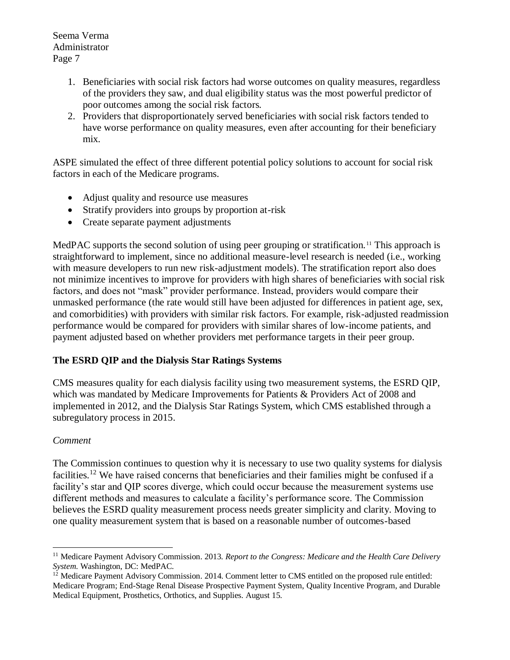- 1. Beneficiaries with social risk factors had worse outcomes on quality measures, regardless of the providers they saw, and dual eligibility status was the most powerful predictor of poor outcomes among the social risk factors.
- 2. Providers that disproportionately served beneficiaries with social risk factors tended to have worse performance on quality measures, even after accounting for their beneficiary mix.

ASPE simulated the effect of three different potential policy solutions to account for social risk factors in each of the Medicare programs.

- Adjust quality and resource use measures
- Stratify providers into groups by proportion at-risk
- Create separate payment adjustments

MedPAC supports the second solution of using peer grouping or stratification.<sup>11</sup> This approach is straightforward to implement, since no additional measure-level research is needed (i.e., working with measure developers to run new risk-adjustment models). The stratification report also does not minimize incentives to improve for providers with high shares of beneficiaries with social risk factors, and does not "mask" provider performance. Instead, providers would compare their unmasked performance (the rate would still have been adjusted for differences in patient age, sex, and comorbidities) with providers with similar risk factors. For example, risk-adjusted readmission performance would be compared for providers with similar shares of low-income patients, and payment adjusted based on whether providers met performance targets in their peer group.

# **The ESRD QIP and the Dialysis Star Ratings Systems**

CMS measures quality for each dialysis facility using two measurement systems, the ESRD QIP, which was mandated by Medicare Improvements for Patients & Providers Act of 2008 and implemented in 2012, and the Dialysis Star Ratings System, which CMS established through a subregulatory process in 2015.

# *Comment*

The Commission continues to question why it is necessary to use two quality systems for dialysis facilities.<sup>12</sup> We have raised concerns that beneficiaries and their families might be confused if a facility's star and QIP scores diverge, which could occur because the measurement systems use different methods and measures to calculate a facility's performance score. The Commission believes the ESRD quality measurement process needs greater simplicity and clarity. Moving to one quality measurement system that is based on a reasonable number of outcomes-based

 $\overline{a}$ <sup>11</sup> Medicare Payment Advisory Commission. 2013. *Report to the Congress: Medicare and the Health Care Delivery System*. Washington, DC: MedPAC.

<sup>&</sup>lt;sup>12</sup> Medicare Payment Advisory Commission. 2014. Comment letter to CMS entitled on the proposed rule entitled: Medicare Program; End-Stage Renal Disease Prospective Payment System, Quality Incentive Program, and Durable Medical Equipment, Prosthetics, Orthotics, and Supplies. August 15.